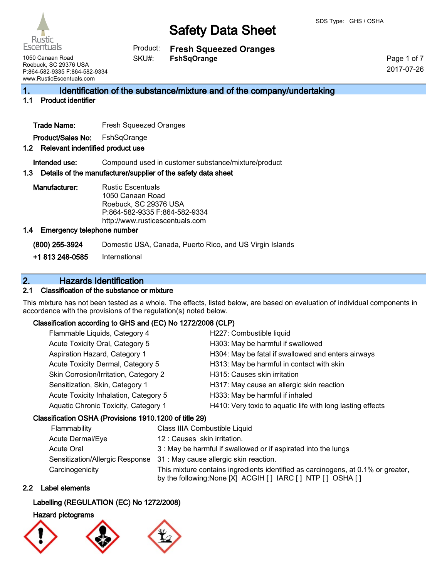**Fresh Squeezed Oranges FshSqOrange** Product: SKU#:

1050 Canaan Road Roebuck, SC 29376 USA P:864-582-9335 F:864-582-9334 www.RusticEscentuals.com

Rustio **Escentuals** 

> Page 1 of 7 2017-07-26

## 1. Identification of the substance/mixture and of the company/undertaking

### 1.1 Product identifier

Trade Name: Fresh Squeezed Oranges

Product/Sales No: FshSqOrange

### 1.2 Relevant indentified product use

Intended use: Compound used in customer substance/mixture/product

### 1.3 Details of the manufacturer/supplier of the safety data sheet

Manufacturer: Rustic Escentuals 1050 Canaan Road Roebuck, SC 29376 USA P:864-582-9335 F:864-582-9334 http://www.rusticescentuals.com

#### 1.4 Emergency telephone number

(800) 255-3924 Domestic USA, Canada, Puerto Rico, and US Virgin Islands

+1 813 248-0585 International

## 2. Hazards Identification

### 2.1 Classification of the substance or mixture

This mixture has not been tested as a whole. The effects, listed below, are based on evaluation of individual components in accordance with the provisions of the regulation(s) noted below.

### Classification according to GHS and (EC) No 1272/2008 (CLP)

| Flammable Liquids, Category 4         | H227: Combustible liquid                                   |
|---------------------------------------|------------------------------------------------------------|
| Acute Toxicity Oral, Category 5       | H303: May be harmful if swallowed                          |
| Aspiration Hazard, Category 1         | H304: May be fatal if swallowed and enters airways         |
| Acute Toxicity Dermal, Category 5     | H313: May be harmful in contact with skin                  |
| Skin Corrosion/Irritation, Category 2 | H315: Causes skin irritation                               |
| Sensitization, Skin, Category 1       | H317: May cause an allergic skin reaction                  |
| Acute Toxicity Inhalation, Category 5 | H333: May be harmful if inhaled                            |
| Aquatic Chronic Toxicity, Category 1  | H410: Very toxic to aquatic life with long lasting effects |
|                                       |                                                            |

### Classification OSHA (Provisions 1910.1200 of title 29)

| Flammability     | Class IIIA Combustible Liquid                                                                                                                      |
|------------------|----------------------------------------------------------------------------------------------------------------------------------------------------|
| Acute Dermal/Eye | 12: Causes skin irritation.                                                                                                                        |
| Acute Oral       | 3 : May be harmful if swallowed or if aspirated into the lungs                                                                                     |
|                  | Sensitization/Allergic Response 31: May cause allergic skin reaction.                                                                              |
| Carcinogenicity  | This mixture contains ingredients identified as carcinogens, at 0.1% or greater,<br>by the following: None [X] ACGIH [ ] IARC [ ] NTP [ ] OSHA [ ] |

### 2.2 Label elements

### Labelling (REGULATION (EC) No 1272/2008)

### Hazard pictograms





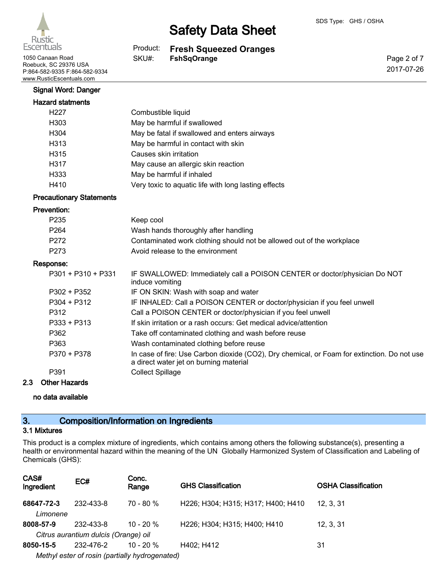

1050 Canaan Road **FSKU#:** FshSqOrange Roebuck, SC 29376 USA P:864-582-9335 F:864-582-9334 www.RusticEscentuals.com

# Safety Data Sheet

**Fresh Squeezed Oranges** Product: SKU#:

Page 2 of 7 2017-07-26

### Signal Word: Danger

| <b>Hazard statments</b> |                                                      |
|-------------------------|------------------------------------------------------|
| H <sub>227</sub>        | Combustible liquid                                   |
| H303                    | May be harmful if swallowed                          |
| H <sub>304</sub>        | May be fatal if swallowed and enters airways         |
| H <sub>3</sub> 13       | May be harmful in contact with skin                  |
| H315                    | Causes skin irritation                               |
| H317                    | May cause an allergic skin reaction                  |
| H333                    | May be harmful if inhaled                            |
| H410                    | Very toxic to aquatic life with long lasting effects |

### Precautionary Statements

#### Prevention:

| P <sub>235</sub>   | Keep cool                                                             |
|--------------------|-----------------------------------------------------------------------|
| P <sub>264</sub>   | Wash hands thoroughly after handling                                  |
| P <sub>272</sub>   | Contaminated work clothing should not be allowed out of the workplace |
| P273               | Avoid release to the environment                                      |
| oonse:             |                                                                       |
| P301 + P310 + P331 | IF SWALLOWED: Immediately call a POISON CENTER or doctor/physician Do |

#### Res

| sponse:              |                                                                                                                                       |
|----------------------|---------------------------------------------------------------------------------------------------------------------------------------|
| P301 + P310 + P331   | IF SWALLOWED: Immediately call a POISON CENTER or doctor/physician Do NOT<br>induce vomiting                                          |
| P302 + P352          | IF ON SKIN: Wash with soap and water                                                                                                  |
| $P304 + P312$        | IF INHALED: Call a POISON CENTER or doctor/physician if you feel unwell                                                               |
| P312                 | Call a POISON CENTER or doctor/physician if you feel unwell                                                                           |
| $P333 + P313$        | If skin irritation or a rash occurs: Get medical advice/attention                                                                     |
| P362                 | Take off contaminated clothing and wash before reuse                                                                                  |
| P363                 | Wash contaminated clothing before reuse                                                                                               |
| P370 + P378          | In case of fire: Use Carbon dioxide (CO2), Dry chemical, or Foam for extinction. Do not use<br>a direct water jet on burning material |
| P391                 | <b>Collect Spillage</b>                                                                                                               |
| <b>\thar Ussarda</b> |                                                                                                                                       |

# 2.3 Other Hazards

no data available

# 3. Composition/Information on Ingredients

### 3.1 Mixtures

This product is a complex mixture of ingredients, which contains among others the following substance(s), presenting a health or environmental hazard within the meaning of the UN Globally Harmonized System of Classification and Labeling of Chemicals (GHS):

| CAS#<br>Ingredient                             | EC#       | Conc.<br>Range | <b>GHS Classification</b>          | <b>OSHA Classification</b> |
|------------------------------------------------|-----------|----------------|------------------------------------|----------------------------|
| 68647-72-3<br>Limonene                         | 232-433-8 | $70 - 80 \%$   | H226; H304; H315; H317; H400; H410 | 12, 3, 31                  |
| 8008-57-9                                      | 232-433-8 | $10 - 20 %$    | H226; H304; H315; H400; H410       | 12, 3, 31                  |
| Citrus aurantium dulcis (Orange) oil           |           |                |                                    |                            |
| 8050-15-5                                      | 232-476-2 | $10 - 20 %$    | H402; H412                         | 31                         |
| Methyl ester of rosin (partially hydrogenated) |           |                |                                    |                            |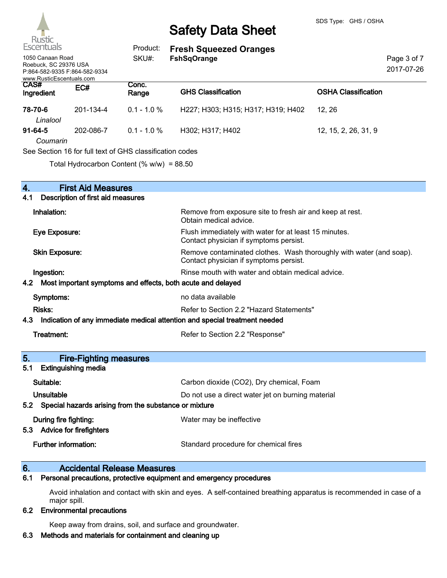

| $\sim$<br>Escentuals                                                                                            |           | Product:                                                 | <b>Fresh Squeezed Oranges</b>      |                            |  |
|-----------------------------------------------------------------------------------------------------------------|-----------|----------------------------------------------------------|------------------------------------|----------------------------|--|
| 1050 Canaan Road<br>SKU#:<br>Roebuck, SC 29376 USA<br>P:864-582-9335 F:864-582-9334<br>www.RusticEscentuals.com |           | <b>FshSqOrange</b>                                       |                                    |                            |  |
| CAS#<br>Ingredient                                                                                              | EC#       | Conc.<br>Range                                           | <b>GHS Classification</b>          | <b>OSHA Classification</b> |  |
| 78-70-6<br>Linalool                                                                                             | 201-134-4 | $0.1 - 1.0 %$                                            | H227; H303; H315; H317; H319; H402 | 12, 26                     |  |
| 91-64-5<br>Coumarin                                                                                             | 202-086-7 | $0.1 - 1.0 %$                                            | H302; H317; H402                   | 12, 15, 2, 26, 31, 9       |  |
|                                                                                                                 |           | See Section 16 for full text of GHS classification codes |                                    |                            |  |
|                                                                                                                 |           | Total Hydrocarbon Content (% $w/w$ ) = 88.50             |                                    |                            |  |

| 4.<br><b>First Aid Measures</b>                                                   |                                                                                                               |  |
|-----------------------------------------------------------------------------------|---------------------------------------------------------------------------------------------------------------|--|
| 4.1<br>Description of first aid measures                                          |                                                                                                               |  |
| Inhalation:                                                                       | Remove from exposure site to fresh air and keep at rest.<br>Obtain medical advice.                            |  |
| Eye Exposure:                                                                     | Flush immediately with water for at least 15 minutes.<br>Contact physician if symptoms persist.               |  |
| <b>Skin Exposure:</b>                                                             | Remove contaminated clothes. Wash thoroughly with water (and soap).<br>Contact physician if symptoms persist. |  |
| Ingestion:                                                                        | Rinse mouth with water and obtain medical advice.                                                             |  |
| Most important symptoms and effects, both acute and delayed<br>4.2                |                                                                                                               |  |
| Symptoms:                                                                         | no data available                                                                                             |  |
| Risks:                                                                            | Refer to Section 2.2 "Hazard Statements"                                                                      |  |
| Indication of any immediate medical attention and special treatment needed<br>4.3 |                                                                                                               |  |
| Treatment:                                                                        | Refer to Section 2.2 "Response"                                                                               |  |
| 5.<br><b>Fire-Fighting measures</b>                                               |                                                                                                               |  |
| <b>Extinguishing media</b><br>5.1                                                 |                                                                                                               |  |
| Suitable:                                                                         | Carbon dioxide (CO2), Dry chemical, Foam                                                                      |  |
|                                                                                   |                                                                                                               |  |
| Unsuitable                                                                        | Do not use a direct water jet on burning material                                                             |  |
| Special hazards arising from the substance or mixture<br>5.2                      |                                                                                                               |  |
| During fire fighting:<br>5.3 Advice for firefighters                              | Water may be ineffective                                                                                      |  |

# 6. **Accidental Release Measures**<br>6.1 Personal precautions, protective equipmen

Personal precautions, protective equipment and emergency procedures

Avoid inhalation and contact with skin and eyes. A self-contained breathing apparatus is recommended in case of a major spill.

### 6.2 Environmental precautions

Keep away from drains, soil, and surface and groundwater.

### 6.3 Methods and materials for containment and cleaning up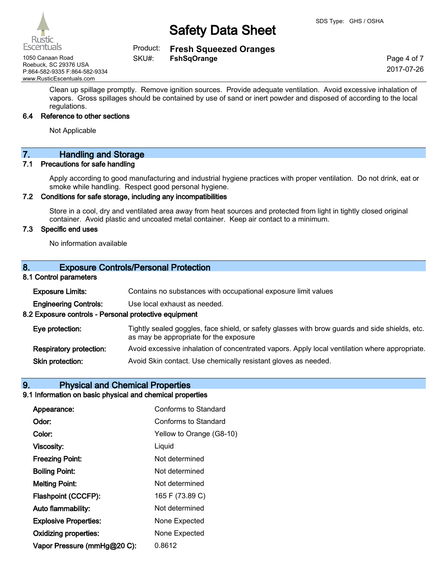Rustic Escentuals

**Fresh Squeezed Oranges** Product: SKU#:

1050 Canaan Road **FSKU#:** FshSqOrange Roebuck, SC 29376 USA P:864-582-9335 F:864-582-9334 www.RusticEscentuals.com

Page 4 of 7 2017-07-26

Clean up spillage promptly. Remove ignition sources. Provide adequate ventilation. Avoid excessive inhalation of vapors. Gross spillages should be contained by use of sand or inert powder and disposed of according to the local regulations.

#### 6.4 Reference to other sections

Not Applicable

# 7. Handling and Storage

#### 7.1 Precautions for safe handling

Apply according to good manufacturing and industrial hygiene practices with proper ventilation. Do not drink, eat or smoke while handling. Respect good personal hygiene.

### 7.2 Conditions for safe storage, including any incompatibilities

Store in a cool, dry and ventilated area away from heat sources and protected from light in tightly closed original container. Avoid plastic and uncoated metal container. Keep air contact to a minimum.

#### 7.3 Specific end uses

No information available

### 8. Exposure Controls/Personal Protection

#### 8.1 Control parameters

| <b>Exposure Limits:</b>                               | Contains no substances with occupational exposure limit values                                                                           |  |  |
|-------------------------------------------------------|------------------------------------------------------------------------------------------------------------------------------------------|--|--|
| <b>Engineering Controls:</b>                          | Use local exhaust as needed.                                                                                                             |  |  |
| 8.2 Exposure controls - Personal protective equipment |                                                                                                                                          |  |  |
| Eye protection:                                       | Tightly sealed goggles, face shield, or safety glasses with brow guards and side shields, etc.<br>as may be appropriate for the exposure |  |  |
| <b>Respiratory protection:</b>                        | Avoid excessive inhalation of concentrated vapors. Apply local ventilation where appropriate.                                            |  |  |
| Skin protection:                                      | Avoid Skin contact. Use chemically resistant gloves as needed.                                                                           |  |  |

### 9. Physical and Chemical Properties

#### 9.1 Information on basic physical and chemical properties

| Appearance:                  | Conforms to Standard     |
|------------------------------|--------------------------|
| Odor:                        | Conforms to Standard     |
| Color:                       | Yellow to Orange (G8-10) |
| <b>Viscosity:</b>            | Liquid                   |
| <b>Freezing Point:</b>       | Not determined           |
| <b>Boiling Point:</b>        | Not determined           |
| <b>Melting Point:</b>        | Not determined           |
| Flashpoint (CCCFP):          | 165 F (73.89 C)          |
| Auto flammability:           | Not determined           |
| <b>Explosive Properties:</b> | None Expected            |
| <b>Oxidizing properties:</b> | None Expected            |
| Vapor Pressure (mmHg@20 C):  | 0.8612                   |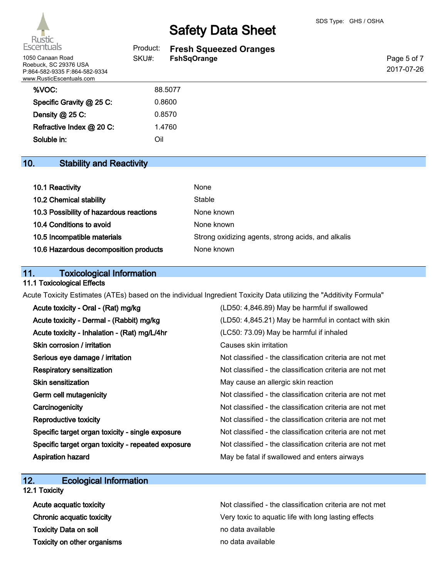

| Escentuals                                                                                             | Product: | <b>Fresh Squeezed Oranges</b> |                           |
|--------------------------------------------------------------------------------------------------------|----------|-------------------------------|---------------------------|
| 1050 Canaan Road<br>Roebuck, SC 29376 USA<br>P:864-582-9335 F:864-582-9334<br>www.RusticEscentuals.com | SKU#:    | <b>FshSqOrange</b>            | Page 5 of 7<br>2017-07-26 |
| %VOC:                                                                                                  |          | 88,5077                       |                           |
| Specific Gravity @ 25 C:                                                                               |          | 0.8600                        |                           |
| Density $@$ 25 C:                                                                                      |          | 0.8570                        |                           |
| Refractive Index @ 20 C:                                                                               |          | 1.4760                        |                           |
| Soluble in:                                                                                            | Oil      |                               |                           |

# 10. Stability and Reactivity

| 10.1 Reactivity                         | None                                               |
|-----------------------------------------|----------------------------------------------------|
| 10.2 Chemical stability                 | Stable                                             |
| 10.3 Possibility of hazardous reactions | None known                                         |
| 10.4 Conditions to avoid                | None known                                         |
| 10.5 Incompatible materials             | Strong oxidizing agents, strong acids, and alkalis |
| 10.6 Hazardous decomposition products   | None known                                         |

# 11. Toxicological Information

### 11.1 Toxicological Effects

Acute Toxicity Estimates (ATEs) based on the individual Ingredient Toxicity Data utilizing the "Additivity Formula"

| Acute toxicity - Oral - (Rat) mg/kg                | (LD50: 4,846.89) May be harmful if swallowed             |
|----------------------------------------------------|----------------------------------------------------------|
| Acute toxicity - Dermal - (Rabbit) mg/kg           | (LD50: 4,845.21) May be harmful in contact with skin     |
| Acute toxicity - Inhalation - (Rat) mg/L/4hr       | (LC50: 73.09) May be harmful if inhaled                  |
| Skin corrosion / irritation                        | Causes skin irritation                                   |
| Serious eye damage / irritation                    | Not classified - the classification criteria are not met |
| <b>Respiratory sensitization</b>                   | Not classified - the classification criteria are not met |
| <b>Skin sensitization</b>                          | May cause an allergic skin reaction                      |
| Germ cell mutagenicity                             | Not classified - the classification criteria are not met |
| Carcinogenicity                                    | Not classified - the classification criteria are not met |
| Reproductive toxicity                              | Not classified - the classification criteria are not met |
| Specific target organ toxicity - single exposure   | Not classified - the classification criteria are not met |
| Specific target organ toxicity - repeated exposure | Not classified - the classification criteria are not met |
| <b>Aspiration hazard</b>                           | May be fatal if swallowed and enters airways             |

### 12. Ecological Information 12.1 Toxicity

| Acute acquatic toxicity      | Not classified - the classification criteria are not met |
|------------------------------|----------------------------------------------------------|
| Chronic acquatic toxicity    | Very toxic to aquatic life with long lasting effects     |
| <b>Toxicity Data on soil</b> | no data available                                        |
| Toxicity on other organisms  | no data available                                        |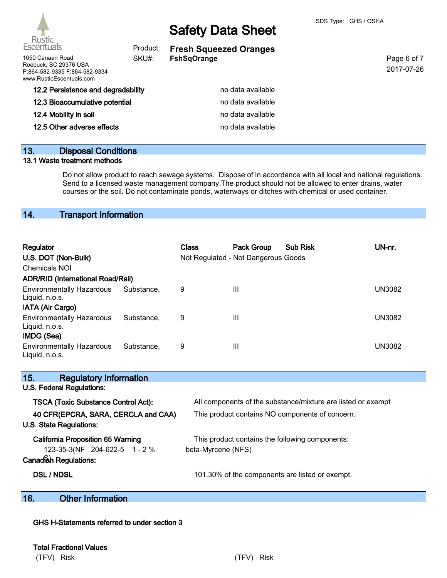

| Escentuals<br>Product:                                                                                  |       | <b>Fresh Squeezed Oranges</b> |                           |
|---------------------------------------------------------------------------------------------------------|-------|-------------------------------|---------------------------|
| 1050 Canaan Road<br>Roebuck, SC 29376 USA<br>P:864-582-9335 F:864-582-9334<br>www.RusticEscentuals.com_ | SKU#: | <b>FshSqOrange</b>            | Page 6 of 7<br>2017-07-26 |
| 12.2 Persistence and degradability                                                                      |       | no data available             |                           |
| 12.3 Bioaccumulative potential                                                                          |       | no data available             |                           |
| 12.4 Mobility in soil                                                                                   |       | no data available             |                           |
| 12.5 Other adverse effects                                                                              |       | no data available             |                           |
|                                                                                                         |       |                               |                           |

### 13. Disposal Conditions

### 13.1 Waste treatment methods

Do not allow product to reach sewage systems. Dispose of in accordance with all local and national regulations. Send to a licensed waste management company.The product should not be allowed to enter drains, water courses or the soil. Do not contaminate ponds, waterways or ditches with chemical or used container.

## 14. Transport Information

| Regulator<br>U.S. DOT (Non-Bulk)<br>Chemicals NOI<br><b>ADR/RID (International Road/Rail)</b> |            | <b>Class</b> | Pack Group<br>Not Regulated - Not Dangerous Goods | <b>Sub Risk</b> | UN-nr. |
|-----------------------------------------------------------------------------------------------|------------|--------------|---------------------------------------------------|-----------------|--------|
| <b>Environmentally Hazardous</b><br>Liquid, n.o.s.<br>IATA (Air Cargo)                        | Substance, | 9            | Ш                                                 |                 | UN3082 |
| <b>Environmentally Hazardous</b><br>Liquid, n.o.s.<br>IMDG (Sea)                              | Substance. | 9            | Ш                                                 |                 | UN3082 |
| <b>Environmentally Hazardous</b><br>Liquid, n.o.s.                                            | Substance. | 9            | Ш                                                 |                 | UN3082 |

| 15.<br><b>Regulatory Information</b>       |                                                              |
|--------------------------------------------|--------------------------------------------------------------|
| U.S. Federal Regulations:                  |                                                              |
| <b>TSCA (Toxic Substance Control Act):</b> | All components of the substance/mixture are listed or exempt |
| 40 CFR(EPCRA, SARA, CERCLA and CAA)        | This product contains NO components of concern.              |
| U.S. State Regulations:                    |                                                              |
| <b>California Proposition 65 Warning</b>   | This product contains the following components:              |
| 123-35-3(NF 204-622-5 1 - 2 %              | beta-Myrcene (NFS)                                           |
| Canadian Regulations:                      |                                                              |
| <b>DSL / NDSL</b>                          | 101.30% of the components are listed or exempt.              |
|                                            |                                                              |

# 16. Other Information

GHS H-Statements referred to under section 3